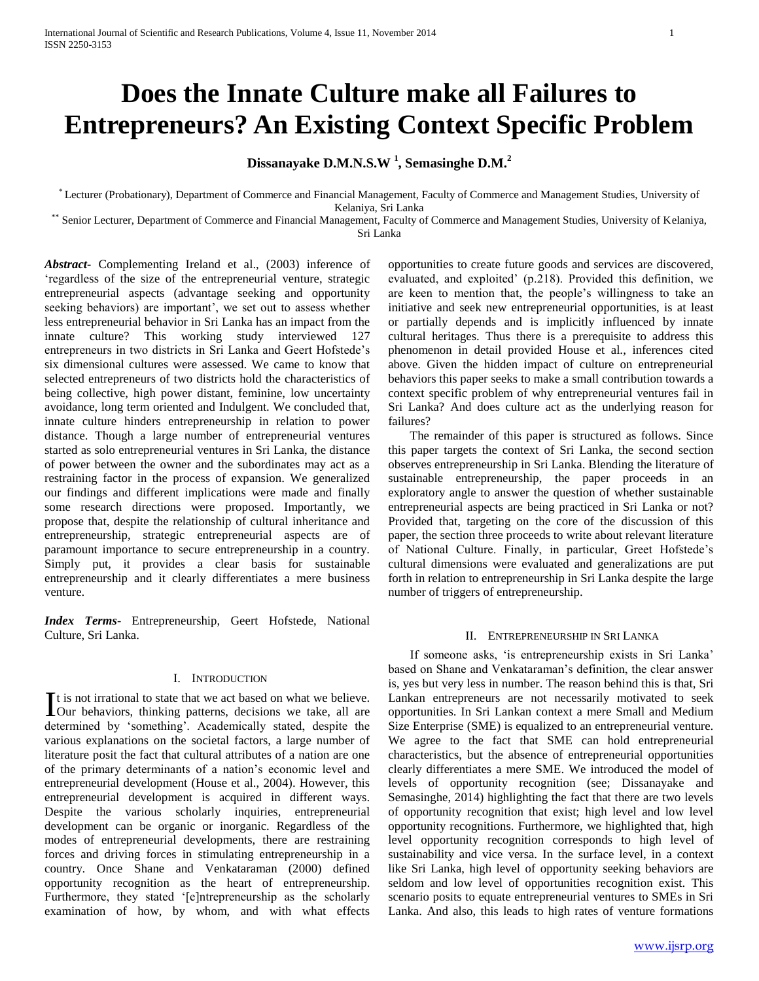# **Does the Innate Culture make all Failures to Entrepreneurs? An Existing Context Specific Problem**

# **Dissanayake D.M.N.S.W <sup>1</sup> , Semasinghe D.M.<sup>2</sup>**

\* Lecturer (Probationary), Department of Commerce and Financial Management, Faculty of Commerce and Management Studies, University of Kelaniya, Sri Lanka

\*\* Senior Lecturer, Department of Commerce and Financial Management, Faculty of Commerce and Management Studies, University of Kelaniya, Sri Lanka

*Abstract***-** Complementing Ireland et al., (2003) inference of 'regardless of the size of the entrepreneurial venture, strategic entrepreneurial aspects (advantage seeking and opportunity seeking behaviors) are important', we set out to assess whether less entrepreneurial behavior in Sri Lanka has an impact from the innate culture? This working study interviewed 127 entrepreneurs in two districts in Sri Lanka and Geert Hofstede"s six dimensional cultures were assessed. We came to know that selected entrepreneurs of two districts hold the characteristics of being collective, high power distant, feminine, low uncertainty avoidance, long term oriented and Indulgent. We concluded that, innate culture hinders entrepreneurship in relation to power distance. Though a large number of entrepreneurial ventures started as solo entrepreneurial ventures in Sri Lanka, the distance of power between the owner and the subordinates may act as a restraining factor in the process of expansion. We generalized our findings and different implications were made and finally some research directions were proposed. Importantly, we propose that, despite the relationship of cultural inheritance and entrepreneurship, strategic entrepreneurial aspects are of paramount importance to secure entrepreneurship in a country. Simply put, it provides a clear basis for sustainable entrepreneurship and it clearly differentiates a mere business venture.

*Index Terms*- Entrepreneurship, Geert Hofstede, National Culture, Sri Lanka.

# I. INTRODUCTION

t is not irrational to state that we act based on what we believe. It is not irrational to state that we act based on what we believe.<br>Our behaviors, thinking patterns, decisions we take, all are determined by "something". Academically stated, despite the various explanations on the societal factors, a large number of literature posit the fact that cultural attributes of a nation are one of the primary determinants of a nation"s economic level and entrepreneurial development (House et al., 2004). However, this entrepreneurial development is acquired in different ways. Despite the various scholarly inquiries, entrepreneurial development can be organic or inorganic. Regardless of the modes of entrepreneurial developments, there are restraining forces and driving forces in stimulating entrepreneurship in a country. Once Shane and Venkataraman (2000) defined opportunity recognition as the heart of entrepreneurship. Furthermore, they stated "[e]ntrepreneurship as the scholarly examination of how, by whom, and with what effects

opportunities to create future goods and services are discovered, evaluated, and exploited" (p.218). Provided this definition, we are keen to mention that, the people"s willingness to take an initiative and seek new entrepreneurial opportunities, is at least or partially depends and is implicitly influenced by innate cultural heritages. Thus there is a prerequisite to address this phenomenon in detail provided House et al., inferences cited above. Given the hidden impact of culture on entrepreneurial behaviors this paper seeks to make a small contribution towards a context specific problem of why entrepreneurial ventures fail in Sri Lanka? And does culture act as the underlying reason for failures?

 The remainder of this paper is structured as follows. Since this paper targets the context of Sri Lanka, the second section observes entrepreneurship in Sri Lanka. Blending the literature of sustainable entrepreneurship, the paper proceeds in an exploratory angle to answer the question of whether sustainable entrepreneurial aspects are being practiced in Sri Lanka or not? Provided that, targeting on the core of the discussion of this paper, the section three proceeds to write about relevant literature of National Culture. Finally, in particular, Greet Hofstede"s cultural dimensions were evaluated and generalizations are put forth in relation to entrepreneurship in Sri Lanka despite the large number of triggers of entrepreneurship.

#### II. ENTREPRENEURSHIP IN SRI LANKA

 If someone asks, "is entrepreneurship exists in Sri Lanka" based on Shane and Venkataraman's definition, the clear answer is, yes but very less in number. The reason behind this is that, Sri Lankan entrepreneurs are not necessarily motivated to seek opportunities. In Sri Lankan context a mere Small and Medium Size Enterprise (SME) is equalized to an entrepreneurial venture. We agree to the fact that SME can hold entrepreneurial characteristics, but the absence of entrepreneurial opportunities clearly differentiates a mere SME. We introduced the model of levels of opportunity recognition (see; Dissanayake and Semasinghe, 2014) highlighting the fact that there are two levels of opportunity recognition that exist; high level and low level opportunity recognitions. Furthermore, we highlighted that, high level opportunity recognition corresponds to high level of sustainability and vice versa. In the surface level, in a context like Sri Lanka, high level of opportunity seeking behaviors are seldom and low level of opportunities recognition exist. This scenario posits to equate entrepreneurial ventures to SMEs in Sri Lanka. And also, this leads to high rates of venture formations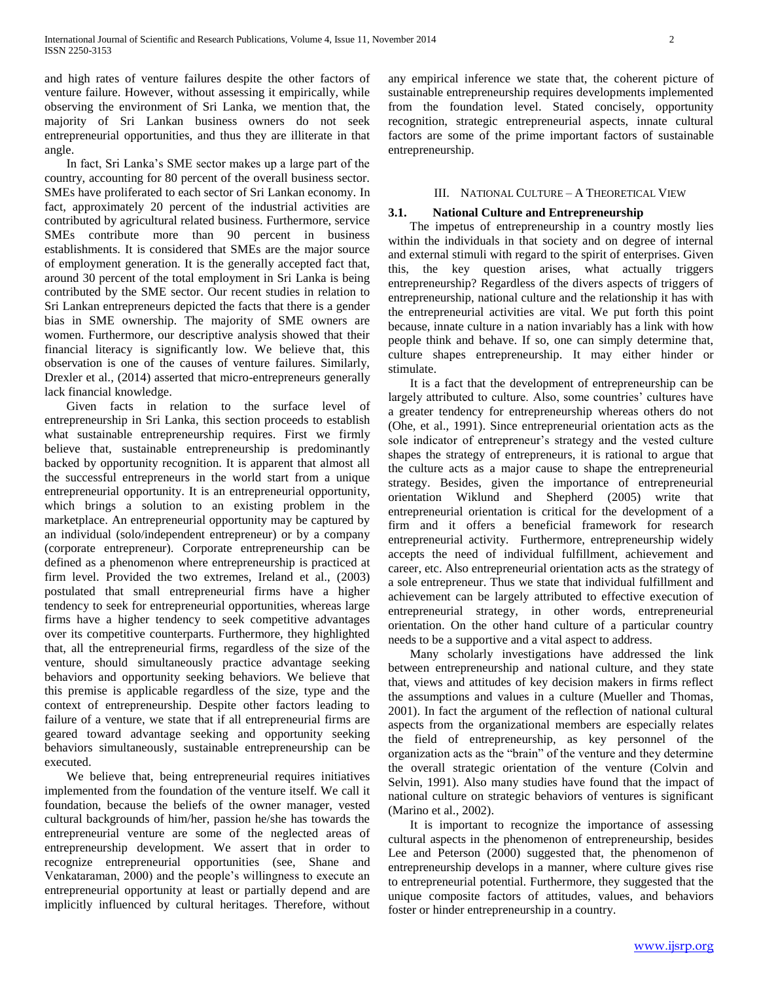and high rates of venture failures despite the other factors of venture failure. However, without assessing it empirically, while observing the environment of Sri Lanka, we mention that, the majority of Sri Lankan business owners do not seek entrepreneurial opportunities, and thus they are illiterate in that angle.

 In fact, Sri Lanka"s SME sector makes up a large part of the country, accounting for 80 percent of the overall business sector. SMEs have proliferated to each sector of Sri Lankan economy. In fact, approximately 20 percent of the industrial activities are contributed by agricultural related business. Furthermore, service SMEs contribute more than 90 percent in business establishments. It is considered that SMEs are the major source of employment generation. It is the generally accepted fact that, around 30 percent of the total employment in Sri Lanka is being contributed by the SME sector. Our recent studies in relation to Sri Lankan entrepreneurs depicted the facts that there is a gender bias in SME ownership. The majority of SME owners are women. Furthermore, our descriptive analysis showed that their financial literacy is significantly low. We believe that, this observation is one of the causes of venture failures. Similarly, Drexler et al., (2014) asserted that micro-entrepreneurs generally lack financial knowledge.

 Given facts in relation to the surface level of entrepreneurship in Sri Lanka, this section proceeds to establish what sustainable entrepreneurship requires. First we firmly believe that, sustainable entrepreneurship is predominantly backed by opportunity recognition. It is apparent that almost all the successful entrepreneurs in the world start from a unique entrepreneurial opportunity. It is an entrepreneurial opportunity, which brings a solution to an existing problem in the marketplace. An entrepreneurial opportunity may be captured by an individual (solo/independent entrepreneur) or by a company (corporate entrepreneur). Corporate entrepreneurship can be defined as a phenomenon where entrepreneurship is practiced at firm level. Provided the two extremes, Ireland et al., (2003) postulated that small entrepreneurial firms have a higher tendency to seek for entrepreneurial opportunities, whereas large firms have a higher tendency to seek competitive advantages over its competitive counterparts. Furthermore, they highlighted that, all the entrepreneurial firms, regardless of the size of the venture, should simultaneously practice advantage seeking behaviors and opportunity seeking behaviors. We believe that this premise is applicable regardless of the size, type and the context of entrepreneurship. Despite other factors leading to failure of a venture, we state that if all entrepreneurial firms are geared toward advantage seeking and opportunity seeking behaviors simultaneously, sustainable entrepreneurship can be executed.

 We believe that, being entrepreneurial requires initiatives implemented from the foundation of the venture itself. We call it foundation, because the beliefs of the owner manager, vested cultural backgrounds of him/her, passion he/she has towards the entrepreneurial venture are some of the neglected areas of entrepreneurship development. We assert that in order to recognize entrepreneurial opportunities (see, Shane and Venkataraman, 2000) and the people"s willingness to execute an entrepreneurial opportunity at least or partially depend and are implicitly influenced by cultural heritages. Therefore, without

any empirical inference we state that, the coherent picture of sustainable entrepreneurship requires developments implemented from the foundation level. Stated concisely, opportunity recognition, strategic entrepreneurial aspects, innate cultural factors are some of the prime important factors of sustainable entrepreneurship.

#### III. NATIONAL CULTURE – A THEORETICAL VIEW

## **3.1. National Culture and Entrepreneurship**

 The impetus of entrepreneurship in a country mostly lies within the individuals in that society and on degree of internal and external stimuli with regard to the spirit of enterprises. Given this, the key question arises, what actually triggers entrepreneurship? Regardless of the divers aspects of triggers of entrepreneurship, national culture and the relationship it has with the entrepreneurial activities are vital. We put forth this point because, innate culture in a nation invariably has a link with how people think and behave. If so, one can simply determine that, culture shapes entrepreneurship. It may either hinder or stimulate.

 It is a fact that the development of entrepreneurship can be largely attributed to culture. Also, some countries' cultures have a greater tendency for entrepreneurship whereas others do not (Ohe, et al., 1991). Since entrepreneurial orientation acts as the sole indicator of entrepreneur's strategy and the vested culture shapes the strategy of entrepreneurs, it is rational to argue that the culture acts as a major cause to shape the entrepreneurial strategy. Besides, given the importance of entrepreneurial orientation Wiklund and Shepherd (2005) write that entrepreneurial orientation is critical for the development of a firm and it offers a beneficial framework for research entrepreneurial activity. Furthermore, entrepreneurship widely accepts the need of individual fulfillment, achievement and career, etc. Also entrepreneurial orientation acts as the strategy of a sole entrepreneur. Thus we state that individual fulfillment and achievement can be largely attributed to effective execution of entrepreneurial strategy, in other words, entrepreneurial orientation. On the other hand culture of a particular country needs to be a supportive and a vital aspect to address.

 Many scholarly investigations have addressed the link between entrepreneurship and national culture, and they state that, views and attitudes of key decision makers in firms reflect the assumptions and values in a culture (Mueller and Thomas, 2001). In fact the argument of the reflection of national cultural aspects from the organizational members are especially relates the field of entrepreneurship, as key personnel of the organization acts as the "brain" of the venture and they determine the overall strategic orientation of the venture (Colvin and Selvin, 1991). Also many studies have found that the impact of national culture on strategic behaviors of ventures is significant (Marino et al., 2002).

 It is important to recognize the importance of assessing cultural aspects in the phenomenon of entrepreneurship, besides Lee and Peterson (2000) suggested that, the phenomenon of entrepreneurship develops in a manner, where culture gives rise to entrepreneurial potential. Furthermore, they suggested that the unique composite factors of attitudes, values, and behaviors foster or hinder entrepreneurship in a country.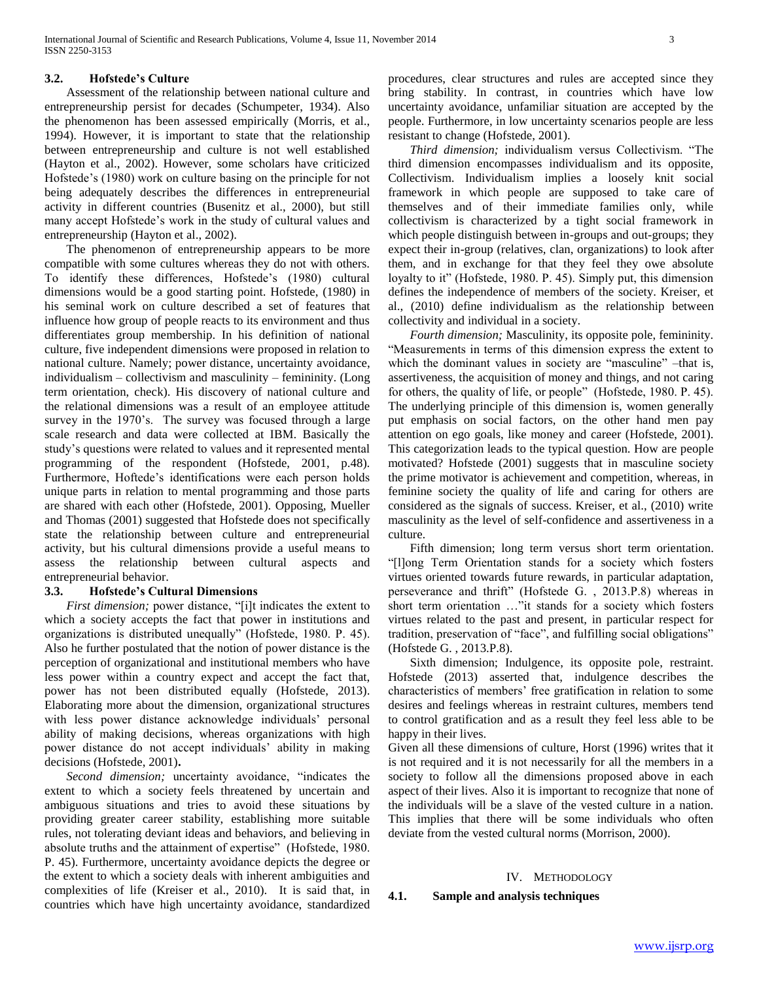# **3.2. Hofstede's Culture**

 Assessment of the relationship between national culture and entrepreneurship persist for decades (Schumpeter, 1934). Also the phenomenon has been assessed empirically (Morris, et al., 1994). However, it is important to state that the relationship between entrepreneurship and culture is not well established (Hayton et al., 2002). However, some scholars have criticized Hofstede"s (1980) work on culture basing on the principle for not being adequately describes the differences in entrepreneurial activity in different countries (Busenitz et al., 2000), but still many accept Hofstede"s work in the study of cultural values and entrepreneurship (Hayton et al., 2002).

 The phenomenon of entrepreneurship appears to be more compatible with some cultures whereas they do not with others. To identify these differences, Hofstede's (1980) cultural dimensions would be a good starting point. Hofstede, (1980) in his seminal work on culture described a set of features that influence how group of people reacts to its environment and thus differentiates group membership. In his definition of national culture, five independent dimensions were proposed in relation to national culture. Namely; power distance, uncertainty avoidance, individualism – collectivism and masculinity – femininity. (Long term orientation, check). His discovery of national culture and the relational dimensions was a result of an employee attitude survey in the 1970's. The survey was focused through a large scale research and data were collected at IBM. Basically the study"s questions were related to values and it represented mental programming of the respondent (Hofstede, 2001, p.48). Furthermore, Hoftede"s identifications were each person holds unique parts in relation to mental programming and those parts are shared with each other (Hofstede, 2001). Opposing, Mueller and Thomas (2001) suggested that Hofstede does not specifically state the relationship between culture and entrepreneurial activity, but his cultural dimensions provide a useful means to assess the relationship between cultural aspects and entrepreneurial behavior.

#### **3.3. Hofstede's Cultural Dimensions**

 *First dimension;* power distance, "[i]t indicates the extent to which a society accepts the fact that power in institutions and organizations is distributed unequally" (Hofstede, 1980. P. 45). Also he further postulated that the notion of power distance is the perception of organizational and institutional members who have less power within a country expect and accept the fact that, power has not been distributed equally (Hofstede, 2013). Elaborating more about the dimension, organizational structures with less power distance acknowledge individuals' personal ability of making decisions, whereas organizations with high power distance do not accept individuals" ability in making decisions (Hofstede, 2001)**.** 

 *Second dimension;* uncertainty avoidance, "indicates the extent to which a society feels threatened by uncertain and ambiguous situations and tries to avoid these situations by providing greater career stability, establishing more suitable rules, not tolerating deviant ideas and behaviors, and believing in absolute truths and the attainment of expertise" (Hofstede, 1980. P. 45). Furthermore, uncertainty avoidance depicts the degree or the extent to which a society deals with inherent ambiguities and complexities of life (Kreiser et al., 2010). It is said that, in countries which have high uncertainty avoidance, standardized procedures, clear structures and rules are accepted since they bring stability. In contrast, in countries which have low uncertainty avoidance, unfamiliar situation are accepted by the people. Furthermore, in low uncertainty scenarios people are less resistant to change (Hofstede, 2001).

 *Third dimension;* individualism versus Collectivism. "The third dimension encompasses individualism and its opposite, Collectivism. Individualism implies a loosely knit social framework in which people are supposed to take care of themselves and of their immediate families only, while collectivism is characterized by a tight social framework in which people distinguish between in-groups and out-groups; they expect their in-group (relatives, clan, organizations) to look after them, and in exchange for that they feel they owe absolute loyalty to it" (Hofstede, 1980. P. 45). Simply put, this dimension defines the independence of members of the society. Kreiser, et al., (2010) define individualism as the relationship between collectivity and individual in a society.

 *Fourth dimension;* Masculinity, its opposite pole, femininity. "Measurements in terms of this dimension express the extent to which the dominant values in society are "masculine" –that is, assertiveness, the acquisition of money and things, and not caring for others, the quality of life, or people" (Hofstede, 1980. P. 45). The underlying principle of this dimension is, women generally put emphasis on social factors, on the other hand men pay attention on ego goals, like money and career (Hofstede, 2001). This categorization leads to the typical question. How are people motivated? Hofstede (2001) suggests that in masculine society the prime motivator is achievement and competition, whereas, in feminine society the quality of life and caring for others are considered as the signals of success. Kreiser, et al., (2010) write masculinity as the level of self-confidence and assertiveness in a culture.

 Fifth dimension; long term versus short term orientation. "[l]ong Term Orientation stands for a society which fosters virtues oriented towards future rewards, in particular adaptation, perseverance and thrift" (Hofstede G. , 2013.P.8) whereas in short term orientation …"it stands for a society which fosters virtues related to the past and present, in particular respect for tradition, preservation of "face", and fulfilling social obligations" (Hofstede G. , 2013.P.8).

 Sixth dimension; Indulgence, its opposite pole, restraint. Hofstede (2013) asserted that, indulgence describes the characteristics of members" free gratification in relation to some desires and feelings whereas in restraint cultures, members tend to control gratification and as a result they feel less able to be happy in their lives.

Given all these dimensions of culture, Horst (1996) writes that it is not required and it is not necessarily for all the members in a society to follow all the dimensions proposed above in each aspect of their lives. Also it is important to recognize that none of the individuals will be a slave of the vested culture in a nation. This implies that there will be some individuals who often deviate from the vested cultural norms (Morrison, 2000).

#### IV. METHODOLOGY

#### **4.1. Sample and analysis techniques**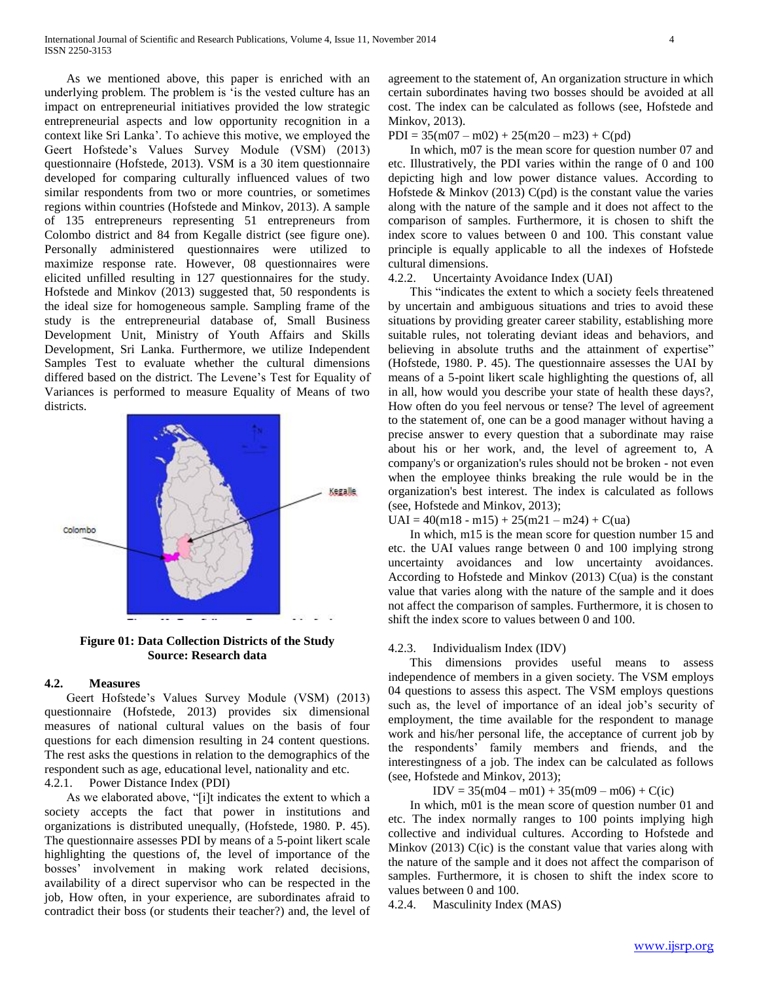As we mentioned above, this paper is enriched with an underlying problem. The problem is "is the vested culture has an impact on entrepreneurial initiatives provided the low strategic entrepreneurial aspects and low opportunity recognition in a context like Sri Lanka". To achieve this motive, we employed the Geert Hofstede"s Values Survey Module (VSM) (2013) questionnaire (Hofstede, 2013). VSM is a 30 item questionnaire developed for comparing culturally influenced values of two similar respondents from two or more countries, or sometimes regions within countries (Hofstede and Minkov, 2013). A sample of 135 entrepreneurs representing 51 entrepreneurs from Colombo district and 84 from Kegalle district (see figure one). Personally administered questionnaires were utilized to maximize response rate. However, 08 questionnaires were elicited unfilled resulting in 127 questionnaires for the study. Hofstede and Minkov (2013) suggested that, 50 respondents is the ideal size for homogeneous sample. Sampling frame of the study is the entrepreneurial database of, Small Business Development Unit, Ministry of Youth Affairs and Skills Development, Sri Lanka. Furthermore, we utilize Independent Samples Test to evaluate whether the cultural dimensions differed based on the district. The Levene"s Test for Equality of Variances is performed to measure Equality of Means of two districts.



**Figure 01: Data Collection Districts of the Study Source: Research data**

#### **4.2. Measures**

 Geert Hofstede"s Values Survey Module (VSM) (2013) questionnaire (Hofstede, 2013) provides six dimensional measures of national cultural values on the basis of four questions for each dimension resulting in 24 content questions. The rest asks the questions in relation to the demographics of the respondent such as age, educational level, nationality and etc. 4.2.1. Power Distance Index (PDI)

 As we elaborated above, "[i]t indicates the extent to which a society accepts the fact that power in institutions and organizations is distributed unequally, (Hofstede, 1980. P. 45). The questionnaire assesses PDI by means of a 5-point likert scale highlighting the questions of, the level of importance of the bosses" involvement in making work related decisions, availability of a direct supervisor who can be respected in the job, How often, in your experience, are subordinates afraid to contradict their boss (or students their teacher?) and, the level of

agreement to the statement of, An organization structure in which certain subordinates having two bosses should be avoided at all cost. The index can be calculated as follows (see, Hofstede and Minkov, 2013).

 $PDI = 35(m07 - m02) + 25(m20 - m23) + C(pd)$ 

 In which, m07 is the mean score for question number 07 and etc. Illustratively, the PDI varies within the range of 0 and 100 depicting high and low power distance values. According to Hofstede  $\&$  Minkov (2013) C(pd) is the constant value the varies along with the nature of the sample and it does not affect to the comparison of samples. Furthermore, it is chosen to shift the index score to values between 0 and 100. This constant value principle is equally applicable to all the indexes of Hofstede cultural dimensions.

4.2.2. Uncertainty Avoidance Index (UAI)

 This "indicates the extent to which a society feels threatened by uncertain and ambiguous situations and tries to avoid these situations by providing greater career stability, establishing more suitable rules, not tolerating deviant ideas and behaviors, and believing in absolute truths and the attainment of expertise" (Hofstede, 1980. P. 45). The questionnaire assesses the UAI by means of a 5-point likert scale highlighting the questions of, all in all, how would you describe your state of health these days?, How often do you feel nervous or tense? The level of agreement to the statement of, one can be a good manager without having a precise answer to every question that a subordinate may raise about his or her work, and, the level of agreement to, A company's or organization's rules should not be broken - not even when the employee thinks breaking the rule would be in the organization's best interest. The index is calculated as follows (see, Hofstede and Minkov, 2013);

 $UAI = 40(m18 - m15) + 25(m21 - m24) + C(ua)$ 

 In which, m15 is the mean score for question number 15 and etc. the UAI values range between 0 and 100 implying strong uncertainty avoidances and low uncertainty avoidances. According to Hofstede and Minkov (2013) C(ua) is the constant value that varies along with the nature of the sample and it does not affect the comparison of samples. Furthermore, it is chosen to shift the index score to values between 0 and 100.

# 4.2.3. Individualism Index (IDV)

 This dimensions provides useful means to assess independence of members in a given society. The VSM employs 04 questions to assess this aspect. The VSM employs questions such as, the level of importance of an ideal job's security of employment, the time available for the respondent to manage work and his/her personal life, the acceptance of current job by the respondents" family members and friends, and the interestingness of a job. The index can be calculated as follows (see, Hofstede and Minkov, 2013);

 $IDV = 35(m04 - m01) + 35(m09 - m06) + C(ic)$ 

 In which, m01 is the mean score of question number 01 and etc. The index normally ranges to 100 points implying high collective and individual cultures. According to Hofstede and Minkov (2013) C(ic) is the constant value that varies along with the nature of the sample and it does not affect the comparison of samples. Furthermore, it is chosen to shift the index score to values between 0 and 100.

4.2.4. Masculinity Index (MAS)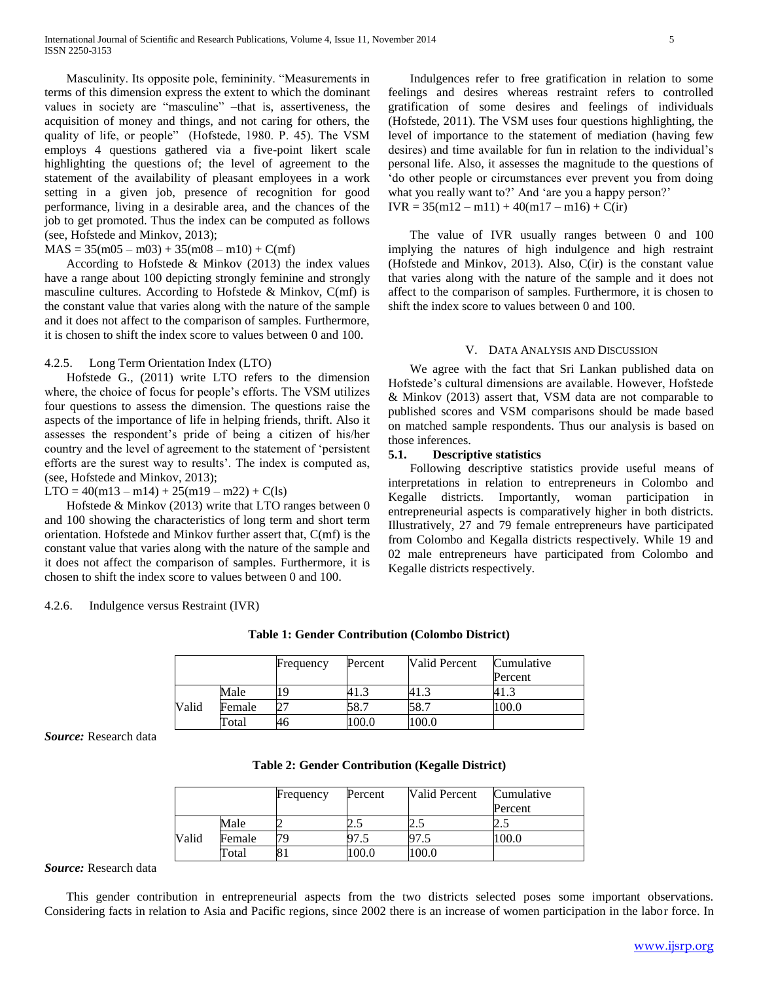Masculinity. Its opposite pole, femininity. "Measurements in terms of this dimension express the extent to which the dominant values in society are "masculine" –that is, assertiveness, the acquisition of money and things, and not caring for others, the quality of life, or people" (Hofstede, 1980. P. 45). The VSM employs 4 questions gathered via a five-point likert scale highlighting the questions of; the level of agreement to the statement of the availability of pleasant employees in a work setting in a given job, presence of recognition for good performance, living in a desirable area, and the chances of the job to get promoted. Thus the index can be computed as follows (see, Hofstede and Minkov, 2013);

#### $MAS = 35(m05 - m03) + 35(m08 - m10) + C(mf)$

 According to Hofstede & Minkov (2013) the index values have a range about 100 depicting strongly feminine and strongly masculine cultures. According to Hofstede & Minkov, C(mf) is the constant value that varies along with the nature of the sample and it does not affect to the comparison of samples. Furthermore, it is chosen to shift the index score to values between 0 and 100.

#### 4.2.5. Long Term Orientation Index (LTO)

 Hofstede G., (2011) write LTO refers to the dimension where, the choice of focus for people"s efforts. The VSM utilizes four questions to assess the dimension. The questions raise the aspects of the importance of life in helping friends, thrift. Also it assesses the respondent"s pride of being a citizen of his/her country and the level of agreement to the statement of "persistent efforts are the surest way to results'. The index is computed as, (see, Hofstede and Minkov, 2013);

 $LTO = 40(m13 - m14) + 25(m19 - m22) + C(1s)$ 

 Hofstede & Minkov (2013) write that LTO ranges between 0 and 100 showing the characteristics of long term and short term orientation. Hofstede and Minkov further assert that, C(mf) is the constant value that varies along with the nature of the sample and it does not affect the comparison of samples. Furthermore, it is chosen to shift the index score to values between 0 and 100.

#### 4.2.6. Indulgence versus Restraint (IVR)

 Indulgences refer to free gratification in relation to some feelings and desires whereas restraint refers to controlled gratification of some desires and feelings of individuals (Hofstede, 2011). The VSM uses four questions highlighting, the level of importance to the statement of mediation (having few desires) and time available for fun in relation to the individual"s personal life. Also, it assesses the magnitude to the questions of "do other people or circumstances ever prevent you from doing what you really want to?' And 'are you a happy person?'  $IVR = 35(m12 - m11) + 40(m17 - m16) + C(ir)$ 

 The value of IVR usually ranges between 0 and 100 implying the natures of high indulgence and high restraint (Hofstede and Minkov, 2013). Also, C(ir) is the constant value that varies along with the nature of the sample and it does not affect to the comparison of samples. Furthermore, it is chosen to shift the index score to values between 0 and 100.

#### V. DATA ANALYSIS AND DISCUSSION

 We agree with the fact that Sri Lankan published data on Hofstede"s cultural dimensions are available. However, Hofstede & Minkov (2013) assert that, VSM data are not comparable to published scores and VSM comparisons should be made based on matched sample respondents. Thus our analysis is based on those inferences.

## **5.1. Descriptive statistics**

 Following descriptive statistics provide useful means of interpretations in relation to entrepreneurs in Colombo and Kegalle districts. Importantly, woman participation in entrepreneurial aspects is comparatively higher in both districts. Illustratively, 27 and 79 female entrepreneurs have participated from Colombo and Kegalla districts respectively. While 19 and 02 male entrepreneurs have participated from Colombo and Kegalle districts respectively.

|       |        | Frequency | Percent | Valid Percent | Cumulative<br>Percent |
|-------|--------|-----------|---------|---------------|-----------------------|
|       | Male   | 19        |         | 41.3          |                       |
| Valid | Female |           | 58.7    | 58.7          | 100.0                 |
|       | Total  | 46        | 100.0   | 100.0         |                       |

**Table 1: Gender Contribution (Colombo District)**

*Source:* Research data

| Table 2: Gender Contribution (Kegalle District) |  |  |  |  |  |
|-------------------------------------------------|--|--|--|--|--|
|-------------------------------------------------|--|--|--|--|--|

|       |        | Frequency | Percent | Valid Percent | Cumulative |
|-------|--------|-----------|---------|---------------|------------|
|       |        |           |         |               | Percent    |
|       | Male   |           | ر. .    | ن . ک         | ن ک        |
| Valid | Female | 79        |         |               | 100.0      |
|       | Total  |           | 0.001   | 100.0         |            |

*Source:* Research data

 This gender contribution in entrepreneurial aspects from the two districts selected poses some important observations. Considering facts in relation to Asia and Pacific regions, since 2002 there is an increase of women participation in the labor force. In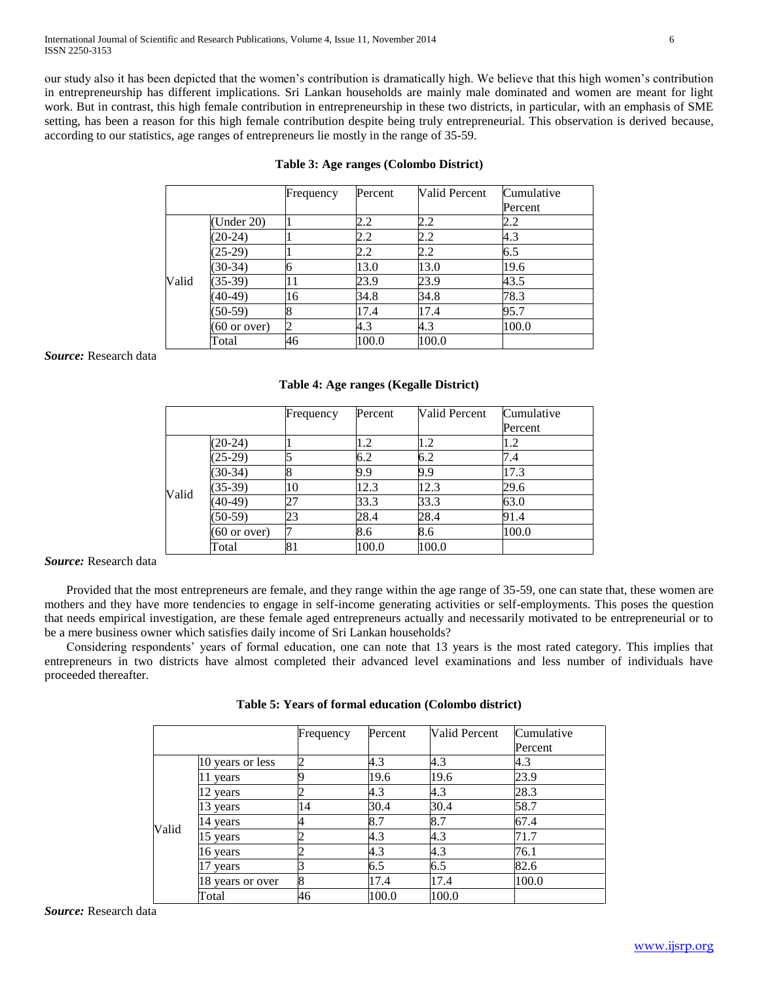our study also it has been depicted that the women"s contribution is dramatically high. We believe that this high women"s contribution in entrepreneurship has different implications. Sri Lankan households are mainly male dominated and women are meant for light work. But in contrast, this high female contribution in entrepreneurship in these two districts, in particular, with an emphasis of SME setting, has been a reason for this high female contribution despite being truly entrepreneurial. This observation is derived because, according to our statistics, age ranges of entrepreneurs lie mostly in the range of 35-59.

|       |                        | Frequency | Percent | <b>Valid Percent</b> | Cumulative |
|-------|------------------------|-----------|---------|----------------------|------------|
|       |                        |           |         |                      | Percent    |
|       | (Under 20)             |           | 2.2     | 2.2                  | 2.2        |
|       | $(20-24)$              |           |         | 2.2                  | 4.3        |
|       | $(25-29)$              |           | 2.2     | 2.2                  | 6.5        |
|       | $(30-34)$              |           | 13.0    | 13.0                 | 19.6       |
| Valid | $(35-39)$              | 11        | 23.9    | 23.9                 | 43.5       |
|       | $(40-49)$              | 16        | 34.8    | 34.8                 | 78.3       |
|       | $(50-59)$              |           | 17.4    | 17.4                 | 95.7       |
|       | $(60 \text{ or over})$ |           | 4.3     | 4.3                  | 100.0      |
|       | Total                  | 46        | 100.0   | 100.0                |            |

# **Table 3: Age ranges (Colombo District)**

*Source:* Research data

# **Table 4: Age ranges (Kegalle District)**

|       |                        | Frequency | Percent | <b>Valid Percent</b> | Cumulative |
|-------|------------------------|-----------|---------|----------------------|------------|
|       |                        |           |         |                      | Percent    |
|       | $(20-24)$              |           | 1.2     | 1.2                  | 1.2        |
| Valid | $(25-29)$              |           | 6.2     | 6.2                  | 7.4        |
|       | $(30-34)$              |           | 9.9     | 9.9                  | 17.3       |
|       | $(35-39)$              | 10        | 12.3    | 12.3                 | 29.6       |
|       | $(40-49)$              | 27        | 33.3    | 33.3                 | 63.0       |
|       | $(50-59)$              | 23        | 28.4    | 28.4                 | 91.4       |
|       | $(60 \text{ or over})$ |           | 8.6     | 8.6                  | 100.0      |
|       | Total                  | 81        | 100.0   | 100.0                |            |

*Source:* Research data

 Provided that the most entrepreneurs are female, and they range within the age range of 35-59, one can state that, these women are mothers and they have more tendencies to engage in self-income generating activities or self-employments. This poses the question that needs empirical investigation, are these female aged entrepreneurs actually and necessarily motivated to be entrepreneurial or to be a mere business owner which satisfies daily income of Sri Lankan households?

 Considering respondents" years of formal education, one can note that 13 years is the most rated category. This implies that entrepreneurs in two districts have almost completed their advanced level examinations and less number of individuals have proceeded thereafter.

|       |                  | Frequency      | Percent | Valid Percent | Cumulative |
|-------|------------------|----------------|---------|---------------|------------|
|       |                  |                |         |               | Percent    |
|       | 10 years or less | $\overline{c}$ | 4.3     | 4.3           | 4.3        |
|       | years            |                | 19.6    | 19.6          | 23.9       |
| Valid | 12 years         | 2              | 4.3     | 4.3           | 28.3       |
|       | 13 years         | 14             | 30.4    | 30.4          | 58.7       |
|       | 14 years         |                | 8.7     | 8.7           | 67.4       |
|       | 15 years         |                | 4.3     | 4.3           | 71.7       |
|       | 16 years         |                | 4.3     | 4.3           | 76.1       |
|       | years            |                | 6.5     | 6.5           | 82.6       |
|       | 18 years or over | 8              | 17.4    | 17.4          | 100.0      |
|       | Total            | 46             | 100.0   | 100.0         |            |

| Table 5: Years of formal education (Colombo district) |  |  |  |  |  |  |
|-------------------------------------------------------|--|--|--|--|--|--|
|-------------------------------------------------------|--|--|--|--|--|--|

*Source:* Research data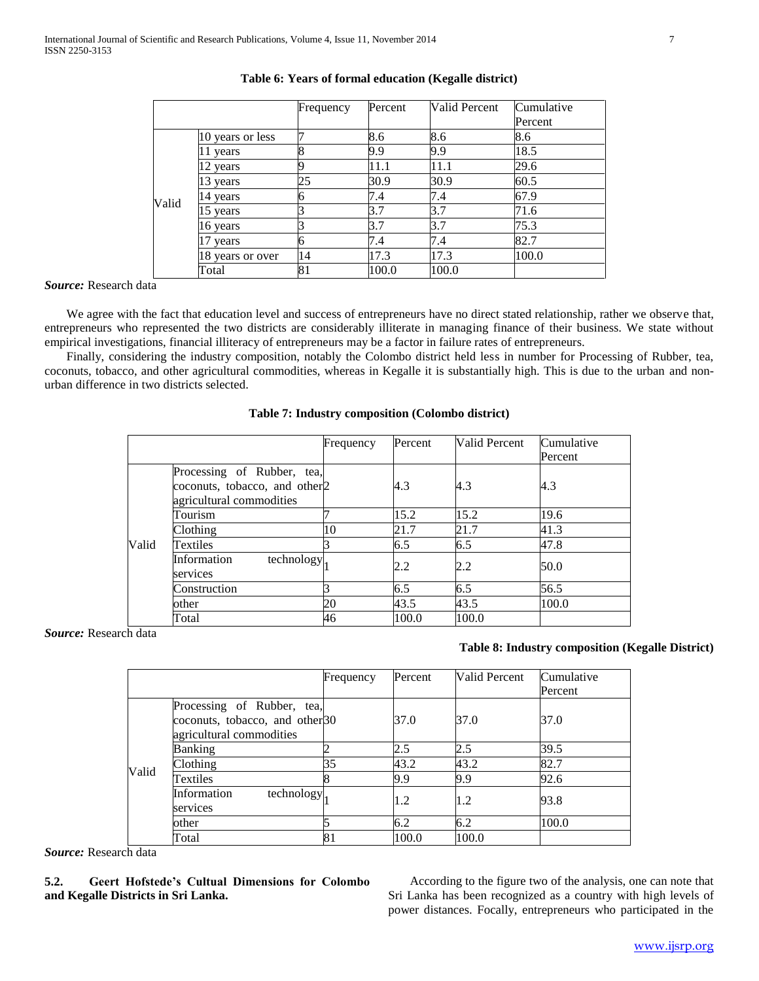|       |                  | Frequency | Percent | Valid Percent | Cumulative |
|-------|------------------|-----------|---------|---------------|------------|
|       |                  |           |         |               | Percent    |
|       | 10 years or less |           | 8.6     | 8.6           | 8.6        |
| Valid | vears            |           | 9.9     | 9.9           | 18.5       |
|       | 2 years          |           | 11.1    | 11.1          | 29.6       |
|       | 3 years          | 25        | 30.9    | 30.9          | 60.5       |
|       | 4 years          |           | 7.4     | 7.4           | 67.9       |
|       | 5 years          |           | 3.7     | 3.7           | 71.6       |
|       | 6 years          |           | 3.7     | 3.7           | 75.3       |
|       | vears            |           | 7.4     | 7.4           | 82.7       |
|       | 8 years or over  | 14        | 17.3    | 17.3          | 100.0      |
|       | Total            |           | 100.0   | 100.0         |            |

# **Table 6: Years of formal education (Kegalle district)**

*Source:* Research data

 We agree with the fact that education level and success of entrepreneurs have no direct stated relationship, rather we observe that, entrepreneurs who represented the two districts are considerably illiterate in managing finance of their business. We state without empirical investigations, financial illiteracy of entrepreneurs may be a factor in failure rates of entrepreneurs.

 Finally, considering the industry composition, notably the Colombo district held less in number for Processing of Rubber, tea, coconuts, tobacco, and other agricultural commodities, whereas in Kegalle it is substantially high. This is due to the urban and nonurban difference in two districts selected.

### **Table 7: Industry composition (Colombo district)**

|       |                                                                                                     | Frequency | Percent | Valid Percent | Cumulative<br>Percent |
|-------|-----------------------------------------------------------------------------------------------------|-----------|---------|---------------|-----------------------|
|       | Processing of Rubber, tea,<br>coconuts, tobacco, and other <sub>2</sub><br>agricultural commodities |           | 4.3     | 4.3           | 4.3                   |
|       | Tourism                                                                                             |           | 15.2    | 15.2          | 19.6                  |
|       | Clothing                                                                                            | 10        | 21.7    | 21.7          | 41.3                  |
| Valid | Textiles                                                                                            |           | 6.5     | 6.5           | 47.8                  |
|       | Information<br>technology.<br>services                                                              |           | 2.2     | 2.2           | 50.0                  |
|       | Construction                                                                                        |           | 6.5     | 6.5           | 56.5                  |
|       | other                                                                                               | 20        | 43.5    | 43.5          | 100.0                 |
|       | Total                                                                                               | 46        | 100.0   | 100.0         |                       |

*Source:* Research data

## **Table 8: Industry composition (Kegalle District)**

|       |                                                                                                      | Frequency | Percent | Valid Percent | Cumulative<br>Percent |
|-------|------------------------------------------------------------------------------------------------------|-----------|---------|---------------|-----------------------|
|       | Processing of Rubber, tea,<br>coconuts, tobacco, and other <sup>30</sup><br>agricultural commodities |           | 37.0    | 37.0          | 37.0                  |
|       | Banking                                                                                              |           | 2.5     | 2.5           | 39.5                  |
|       | Clothing                                                                                             | 35        | 43.2    | 43.2          | 82.7                  |
| Valid | Textiles                                                                                             |           | 9.9     | 9.9           | 92.6                  |
|       | Information<br>technology.<br>services                                                               |           | 1.2     | 1.2           | 93.8                  |
|       | other                                                                                                |           | 6.2     | 6.2           | 100.0                 |
|       | Total                                                                                                | 81        | 100.0   | 100.0         |                       |

*Source:* Research data

**5.2. Geert Hofstede's Cultual Dimensions for Colombo and Kegalle Districts in Sri Lanka.**

 According to the figure two of the analysis, one can note that Sri Lanka has been recognized as a country with high levels of power distances. Focally, entrepreneurs who participated in the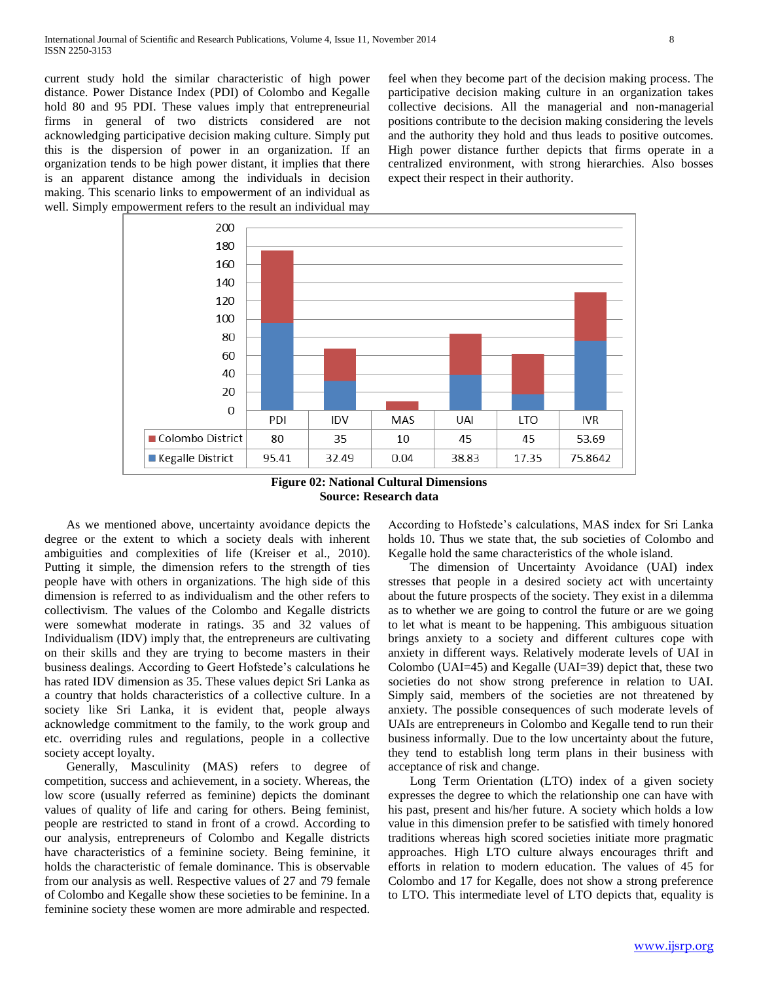current study hold the similar characteristic of high power distance. Power Distance Index (PDI) of Colombo and Kegalle hold 80 and 95 PDI. These values imply that entrepreneurial firms in general of two districts considered are not acknowledging participative decision making culture. Simply put this is the dispersion of power in an organization. If an organization tends to be high power distant, it implies that there is an apparent distance among the individuals in decision making. This scenario links to empowerment of an individual as well. Simply empowerment refers to the result an individual may feel when they become part of the decision making process. The participative decision making culture in an organization takes collective decisions. All the managerial and non-managerial positions contribute to the decision making considering the levels and the authority they hold and thus leads to positive outcomes. High power distance further depicts that firms operate in a centralized environment, with strong hierarchies. Also bosses expect their respect in their authority.



**Figure 02: National Cultural Dimensions Source: Research data**

 As we mentioned above, uncertainty avoidance depicts the degree or the extent to which a society deals with inherent ambiguities and complexities of life (Kreiser et al., 2010). Putting it simple, the dimension refers to the strength of ties people have with others in organizations. The high side of this dimension is referred to as individualism and the other refers to collectivism. The values of the Colombo and Kegalle districts were somewhat moderate in ratings. 35 and 32 values of Individualism (IDV) imply that, the entrepreneurs are cultivating on their skills and they are trying to become masters in their business dealings. According to Geert Hofstede"s calculations he has rated IDV dimension as 35. These values depict Sri Lanka as a country that holds characteristics of a collective culture. In a society like Sri Lanka, it is evident that, people always acknowledge commitment to the family, to the work group and etc. overriding rules and regulations, people in a collective society accept loyalty.

 Generally, Masculinity (MAS) refers to degree of competition, success and achievement, in a society. Whereas, the low score (usually referred as feminine) depicts the dominant values of quality of life and caring for others. Being feminist, people are restricted to stand in front of a crowd. According to our analysis, entrepreneurs of Colombo and Kegalle districts have characteristics of a feminine society. Being feminine, it holds the characteristic of female dominance. This is observable from our analysis as well. Respective values of 27 and 79 female of Colombo and Kegalle show these societies to be feminine. In a feminine society these women are more admirable and respected.

According to Hofstede"s calculations, MAS index for Sri Lanka holds 10. Thus we state that, the sub societies of Colombo and Kegalle hold the same characteristics of the whole island.

 The dimension of Uncertainty Avoidance (UAI) index stresses that people in a desired society act with uncertainty about the future prospects of the society. They exist in a dilemma as to whether we are going to control the future or are we going to let what is meant to be happening. This ambiguous situation brings anxiety to a society and different cultures cope with anxiety in different ways. Relatively moderate levels of UAI in Colombo (UAI=45) and Kegalle (UAI=39) depict that, these two societies do not show strong preference in relation to UAI. Simply said, members of the societies are not threatened by anxiety. The possible consequences of such moderate levels of UAIs are entrepreneurs in Colombo and Kegalle tend to run their business informally. Due to the low uncertainty about the future, they tend to establish long term plans in their business with acceptance of risk and change.

 Long Term Orientation (LTO) index of a given society expresses the degree to which the relationship one can have with his past, present and his/her future. A society which holds a low value in this dimension prefer to be satisfied with timely honored traditions whereas high scored societies initiate more pragmatic approaches. High LTO culture always encourages thrift and efforts in relation to modern education. The values of 45 for Colombo and 17 for Kegalle, does not show a strong preference to LTO. This intermediate level of LTO depicts that, equality is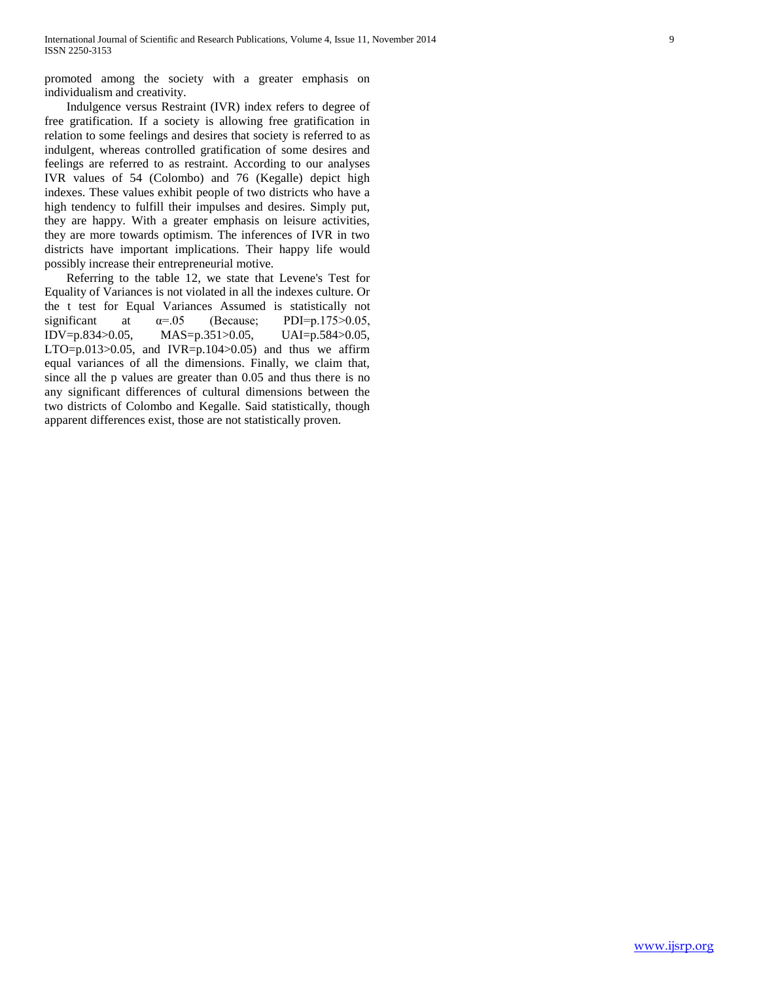promoted among the society with a greater emphasis on individualism and creativity.

 Indulgence versus Restraint (IVR) index refers to degree of free gratification. If a society is allowing free gratification in relation to some feelings and desires that society is referred to as indulgent, whereas controlled gratification of some desires and feelings are referred to as restraint. According to our analyses IVR values of 54 (Colombo) and 76 (Kegalle) depict high indexes. These values exhibit people of two districts who have a high tendency to fulfill their impulses and desires. Simply put, they are happy. With a greater emphasis on leisure activities, they are more towards optimism. The inferences of IVR in two districts have important implications. Their happy life would possibly increase their entrepreneurial motive.

 Referring to the table 12, we state that Levene's Test for Equality of Variances is not violated in all the indexes culture. Or the t test for Equal Variances Assumed is statistically not significant at  $\alpha = .05$  (Because; PDI=p.175>0.05, IDV=p.834>0.05, MAS=p.351>0.05, UAI=p.584>0.05, LTO= $p.013$  $> 0.05$ , and IVR= $p.104$  $> 0.05$ ) and thus we affirm equal variances of all the dimensions. Finally, we claim that, since all the p values are greater than 0.05 and thus there is no any significant differences of cultural dimensions between the two districts of Colombo and Kegalle. Said statistically, though apparent differences exist, those are not statistically proven.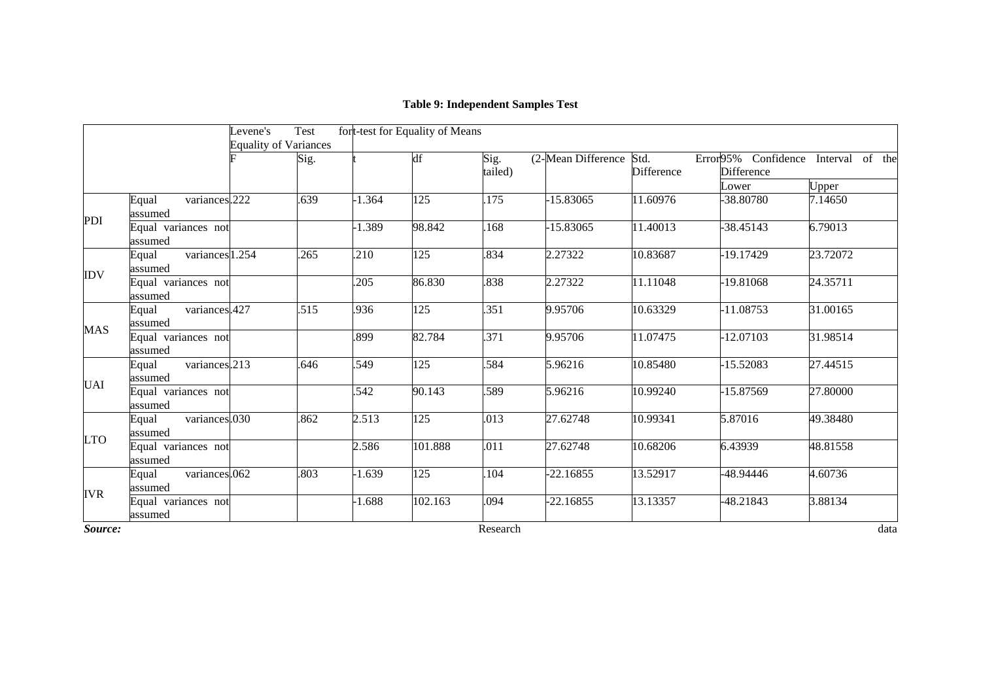# **Table 9: Independent Samples Test**

|            |                                     | Levene's<br><b>Equality of Variances</b> | Test |          | fort-test for Equality of Means |                 |                    |                           |                                            |          |
|------------|-------------------------------------|------------------------------------------|------|----------|---------------------------------|-----------------|--------------------|---------------------------|--------------------------------------------|----------|
|            |                                     |                                          | Sig. |          | df                              | Sig.<br>tailed) | (2-Mean Difference | Std.<br><b>Difference</b> | Error95% Confidence Interval<br>Difference | of the   |
|            |                                     |                                          |      |          |                                 |                 |                    |                           | Lower                                      | Upper    |
|            | variances.222<br>Equal<br>assumed   |                                          | 639  | 1.364    | 125                             | 175             | $-15.83065$        | 11.60976                  | -38.80780                                  | 7.14650  |
| PDI        | Equal variances not<br>assumed      |                                          |      | 1.389    | 98.842                          | 168             | $-15.83065$        | 11.40013                  | -38.45143                                  | 6.79013  |
|            | variances 1.254<br>Equal<br>assumed |                                          | .265 | .210     | 125                             | .834            | 2.27322            | 10.83687                  | -19.17429                                  | 23.72072 |
| <b>IDV</b> | Equal variances not<br>assumed      |                                          |      | .205     | 86.830                          | .838            | 2.27322            | 11.11048                  | -19.81068                                  | 24.35711 |
| <b>MAS</b> | variances.427<br>Equal<br>assumed   |                                          | .515 | .936     | 125                             | .351            | 9.95706            | 10.63329                  | $-11.08753$                                | 31.00165 |
|            | Equal variances not<br>assumed      |                                          |      | .899     | 82.784                          | .371            | 9.95706            | 11.07475                  | 12.07103                                   | 31.98514 |
|            | variances.213<br>Equal<br>assumed   |                                          | .646 | .549     | 125                             | .584            | 5.96216            | 10.85480                  | $-15.52083$                                | 27.44515 |
| <b>UAI</b> | Equal variances not<br>assumed      |                                          |      | .542     | 90.143                          | .589            | 5.96216            | 10.99240                  | -15.87569                                  | 27.80000 |
|            | variances.030<br>Equal<br>assumed   |                                          | .862 | 2.513    | $\overline{125}$                | .013            | 27.62748           | 10.99341                  | 5.87016                                    | 49.38480 |
| <b>LTO</b> | Equal variances not<br>assumed      |                                          |      | 2.586    | 101.888                         | .011            | 27.62748           | 10.68206                  | 6.43939                                    | 48.81558 |
| <b>IVR</b> | variances.062<br>Equal<br>assumed   |                                          | .803 | $-1.639$ | 125                             | 104             | $-22.16855$        | 13.52917                  | -48.94446                                  | 4.60736  |
|            | Equal variances not<br>assumed      |                                          |      | $-1.688$ | 102.163                         | .094            | -22.16855          | 13.13357                  | -48.21843                                  | 3.88134  |
| Source:    |                                     |                                          |      |          |                                 | Research        |                    |                           |                                            | data     |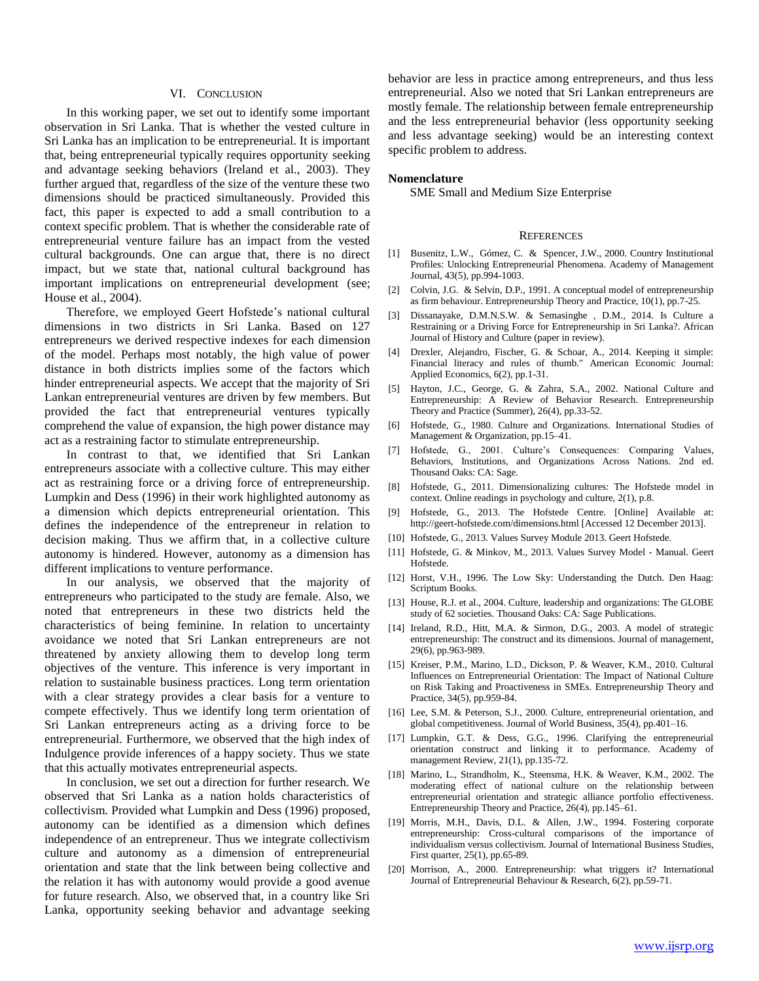#### VI. CONCLUSION

 In this working paper, we set out to identify some important observation in Sri Lanka. That is whether the vested culture in Sri Lanka has an implication to be entrepreneurial. It is important that, being entrepreneurial typically requires opportunity seeking and advantage seeking behaviors (Ireland et al., 2003). They further argued that, regardless of the size of the venture these two dimensions should be practiced simultaneously. Provided this fact, this paper is expected to add a small contribution to a context specific problem. That is whether the considerable rate of entrepreneurial venture failure has an impact from the vested cultural backgrounds. One can argue that, there is no direct impact, but we state that, national cultural background has important implications on entrepreneurial development (see; House et al., 2004).

 Therefore, we employed Geert Hofstede"s national cultural dimensions in two districts in Sri Lanka. Based on 127 entrepreneurs we derived respective indexes for each dimension of the model. Perhaps most notably, the high value of power distance in both districts implies some of the factors which hinder entrepreneurial aspects. We accept that the majority of Sri Lankan entrepreneurial ventures are driven by few members. But provided the fact that entrepreneurial ventures typically comprehend the value of expansion, the high power distance may act as a restraining factor to stimulate entrepreneurship.

 In contrast to that, we identified that Sri Lankan entrepreneurs associate with a collective culture. This may either act as restraining force or a driving force of entrepreneurship. Lumpkin and Dess (1996) in their work highlighted autonomy as a dimension which depicts entrepreneurial orientation. This defines the independence of the entrepreneur in relation to decision making. Thus we affirm that, in a collective culture autonomy is hindered. However, autonomy as a dimension has different implications to venture performance.

 In our analysis, we observed that the majority of entrepreneurs who participated to the study are female. Also, we noted that entrepreneurs in these two districts held the characteristics of being feminine. In relation to uncertainty avoidance we noted that Sri Lankan entrepreneurs are not threatened by anxiety allowing them to develop long term objectives of the venture. This inference is very important in relation to sustainable business practices. Long term orientation with a clear strategy provides a clear basis for a venture to compete effectively. Thus we identify long term orientation of Sri Lankan entrepreneurs acting as a driving force to be entrepreneurial. Furthermore, we observed that the high index of Indulgence provide inferences of a happy society. Thus we state that this actually motivates entrepreneurial aspects.

 In conclusion, we set out a direction for further research. We observed that Sri Lanka as a nation holds characteristics of collectivism. Provided what Lumpkin and Dess (1996) proposed, autonomy can be identified as a dimension which defines independence of an entrepreneur. Thus we integrate collectivism culture and autonomy as a dimension of entrepreneurial orientation and state that the link between being collective and the relation it has with autonomy would provide a good avenue for future research. Also, we observed that, in a country like Sri Lanka, opportunity seeking behavior and advantage seeking behavior are less in practice among entrepreneurs, and thus less entrepreneurial. Also we noted that Sri Lankan entrepreneurs are mostly female. The relationship between female entrepreneurship and the less entrepreneurial behavior (less opportunity seeking and less advantage seeking) would be an interesting context specific problem to address.

#### **Nomenclature**

SME Small and Medium Size Enterprise

#### **REFERENCES**

- [1] Busenitz, L.W., Gómez, C. & Spencer, J.W., 2000. Country Institutional Profiles: Unlocking Entrepreneurial Phenomena. Academy of Management Journal, 43(5), pp.994-1003.
- [2] Colvin, J.G. & Selvin, D.P., 1991. A conceptual model of entrepreneurship as firm behaviour. Entrepreneurship Theory and Practice, 10(1), pp.7-25.
- [3] Dissanayake, D.M.N.S.W. & Semasinghe , D.M., 2014. Is Culture a Restraining or a Driving Force for Entrepreneurship in Sri Lanka?. African Journal of History and Culture (paper in review).
- [4] Drexler, Alejandro, Fischer, G. & Schoar, A., 2014. Keeping it simple: Financial literacy and rules of thumb." American Economic Journal: Applied Economics, 6(2), pp.1-31.
- [5] Hayton, J.C., George, G. & Zahra, S.A., 2002. National Culture and Entrepreneurship: A Review of Behavior Research. Entrepreneurship Theory and Practice (Summer), 26(4), pp.33-52.
- [6] Hofstede, G., 1980. Culture and Organizations. International Studies of Management & Organization, pp.15–41.
- [7] Hofstede, G., 2001. Culture's Consequences: Comparing Values, Behaviors, Institutions, and Organizations Across Nations. 2nd ed. Thousand Oaks: CA: Sage.
- [8] Hofstede, G., 2011. Dimensionalizing cultures: The Hofstede model in context. Online readings in psychology and culture, 2(1), p.8.
- [9] Hofstede, G., 2013. The Hofstede Centre. [Online] Available at: http://geert-hofstede.com/dimensions.html [Accessed 12 December 2013].
- [10] Hofstede, G., 2013. Values Survey Module 2013. Geert Hofstede.
- [11] Hofstede, G. & Minkov, M., 2013. Values Survey Model Manual. Geert Hofstede.
- [12] Horst, V.H., 1996. The Low Sky: Understanding the Dutch. Den Haag: Scriptum Books.
- [13] House, R.J. et al., 2004. Culture, leadership and organizations: The GLOBE study of 62 societies. Thousand Oaks: CA: Sage Publications.
- [14] Ireland, R.D., Hitt, M.A. & Sirmon, D.G., 2003. A model of strategic entrepreneurship: The construct and its dimensions. Journal of management, 29(6), pp.963-989.
- [15] Kreiser, P.M., Marino, L.D., Dickson, P. & Weaver, K.M., 2010. Cultural Influences on Entrepreneurial Orientation: The Impact of National Culture on Risk Taking and Proactiveness in SMEs. Entrepreneurship Theory and Practice, 34(5), pp.959-84.
- [16] Lee, S.M. & Peterson, S.J., 2000. Culture, entrepreneurial orientation, and global competitiveness. Journal of World Business, 35(4), pp.401–16.
- [17] Lumpkin, G.T. & Dess, G.G., 1996. Clarifying the entrepreneurial orientation construct and linking it to performance. Academy of management Review, 21(1), pp.135-72.
- [18] Marino, L., Strandholm, K., Steensma, H.K. & Weaver, K.M., 2002. The moderating effect of national culture on the relationship between entrepreneurial orientation and strategic alliance portfolio effectiveness. Entrepreneurship Theory and Practice, 26(4), pp.145–61.
- [19] Morris, M.H., Davis, D.L. & Allen, J.W., 1994. Fostering corporate entrepreneurship: Cross-cultural comparisons of the importance of individualism versus collectivism. Journal of International Business Studies, First quarter, 25(1), pp.65-89.
- [20] Morrison, A., 2000. Entrepreneurship: what triggers it? International Journal of Entrepreneurial Behaviour & Research, 6(2), pp.59-71.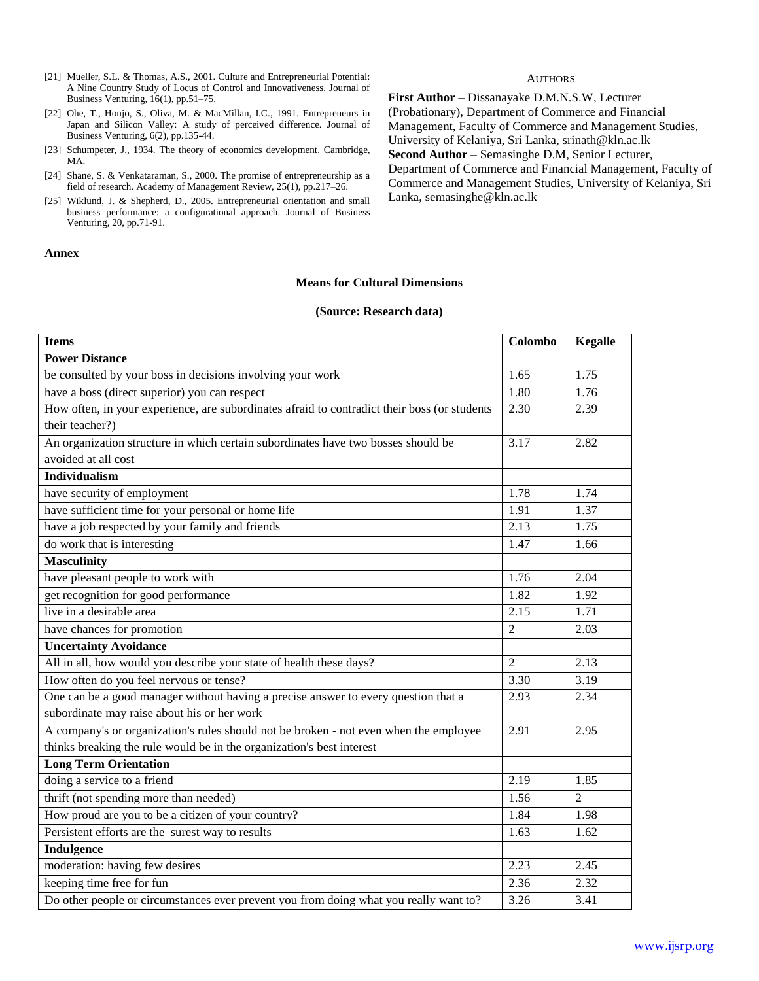- [21] Mueller, S.L. & Thomas, A.S., 2001. Culture and Entrepreneurial Potential: A Nine Country Study of Locus of Control and Innovativeness. Journal of Business Venturing, 16(1), pp.51–75.
- [22] Ohe, T., Honjo, S., Oliva, M. & MacMillan, I.C., 1991. Entrepreneurs in Japan and Silicon Valley: A study of perceived difference. Journal of Business Venturing, 6(2), pp.135-44.
- [23] Schumpeter, J., 1934. The theory of economics development. Cambridge, MA.
- [24] Shane, S. & Venkataraman, S., 2000. The promise of entrepreneurship as a field of research. Academy of Management Review, 25(1), pp.217–26.
- [25] Wiklund, J. & Shepherd, D., 2005. Entrepreneurial orientation and small business performance: a configurational approach. Journal of Business Venturing, 20, pp.71-91.

#### **Annex**

#### **Means for Cultural Dimensions**

#### **(Source: Research data)**

| <b>Items</b>                                                                                 | Colombo           | <b>Kegalle</b>    |
|----------------------------------------------------------------------------------------------|-------------------|-------------------|
| <b>Power Distance</b>                                                                        |                   |                   |
| be consulted by your boss in decisions involving your work                                   | 1.65              | 1.75              |
| have a boss (direct superior) you can respect                                                | 1.80              | 1.76              |
| How often, in your experience, are subordinates afraid to contradict their boss (or students | 2.30              | 2.39              |
| their teacher?)                                                                              |                   |                   |
| An organization structure in which certain subordinates have two bosses should be            | 3.17              | 2.82              |
| avoided at all cost                                                                          |                   |                   |
| Individualism                                                                                |                   |                   |
| have security of employment                                                                  | 1.78              | 1.74              |
| have sufficient time for your personal or home life                                          | 1.91              | 1.37              |
| have a job respected by your family and friends                                              | 2.13              | 1.75              |
| do work that is interesting                                                                  | 1.47              | 1.66              |
| <b>Masculinity</b>                                                                           |                   |                   |
| have pleasant people to work with                                                            | 1.76              | 2.04              |
| get recognition for good performance                                                         | 1.82              | 1.92              |
| live in a desirable area                                                                     | 2.15              | 1.71              |
| have chances for promotion                                                                   | $\overline{2}$    | 2.03              |
| <b>Uncertainty Avoidance</b>                                                                 |                   |                   |
| All in all, how would you describe your state of health these days?                          | $\overline{2}$    | 2.13              |
| How often do you feel nervous or tense?                                                      | $\overline{3.30}$ | $\overline{3.19}$ |
| One can be a good manager without having a precise answer to every question that a           | 2.93              | 2.34              |
| subordinate may raise about his or her work                                                  |                   |                   |
| A company's or organization's rules should not be broken - not even when the employee        | 2.91              | 2.95              |
| thinks breaking the rule would be in the organization's best interest                        |                   |                   |
| <b>Long Term Orientation</b>                                                                 |                   |                   |
| doing a service to a friend                                                                  | 2.19              | 1.85              |
| thrift (not spending more than needed)                                                       | 1.56              | $\overline{2}$    |
| How proud are you to be a citizen of your country?                                           | 1.84              | 1.98              |
| Persistent efforts are the surest way to results                                             | 1.63              | 1.62              |
| Indulgence                                                                                   |                   |                   |
| moderation: having few desires                                                               | 2.23              | 2.45              |
| keeping time free for fun                                                                    | 2.36              | 2.32              |
| Do other people or circumstances ever prevent you from doing what you really want to?        | 3.26              | 3.41              |

**AUTHORS** 

**First Author** – Dissanayake D.M.N.S.W, Lecturer (Probationary), Department of Commerce and Financial Management, Faculty of Commerce and Management Studies, University of Kelaniya, Sri Lanka, srinath@kln.ac.lk **Second Author** – Semasinghe D.M, Senior Lecturer, Department of Commerce and Financial Management, Faculty of Commerce and Management Studies, University of Kelaniya, Sri Lanka, semasinghe@kln.ac.lk